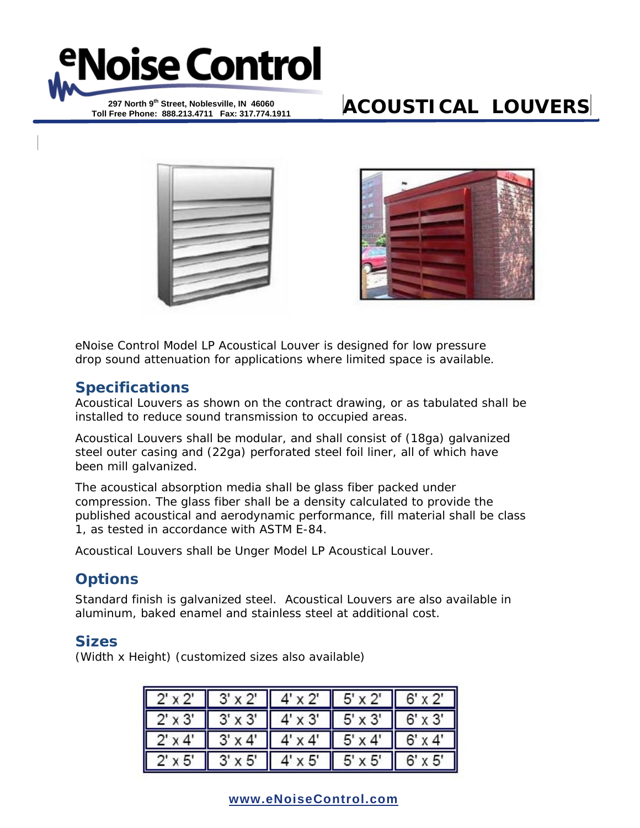

**Toll Free Phone: 888.213.4711 Fax: 317.774.1911** 

# **ACOUSTICAL LOUVERS**





eNoise Control Model LP Acoustical Louver is designed for low pressure drop sound attenuation for applications where limited space is available.

## **Specifications**

Acoustical Louvers as shown on the contract drawing, or as tabulated shall be installed to reduce sound transmission to occupied areas.

Acoustical Louvers shall be modular, and shall consist of (18ga) galvanized steel outer casing and (22ga) perforated steel foil liner, all of which have been mill galvanized.

The acoustical absorption media shall be glass fiber packed under compression. The glass fiber shall be a density calculated to provide the published acoustical and aerodynamic performance, fill material shall be class 1, as tested in accordance with ASTM E-84.

Acoustical Louvers shall be Unger Model LP Acoustical Louver.

# **Options**

Standard finish is galvanized steel. Acoustical Louvers are also available in aluminum, baked enamel and stainless steel at additional cost.

## **Sizes**

(Width x Height) (customized sizes also available)

| $2' \times 2'$       | $3' \times 2'$ | $'$ x 2'      | $5' \times 2'$ | $6' \times 2'$ |
|----------------------|----------------|---------------|----------------|----------------|
| II<br>$2' \times 3'$ | $3' \times 3'$ | $' \times 3'$ | $5' \times 3'$ | $6' \times 3'$ |
| II<br>$2' \times 4'$ | $3' \times 4'$ | $' \times 4'$ | $5' \times 4'$ | $6' \times 4$  |
| $2' \times 5'$       | x 5'           | 4' x 5'       | $5' \times 5'$ | $6'$ x $5'$    |

**www.eNoiseControl.com**